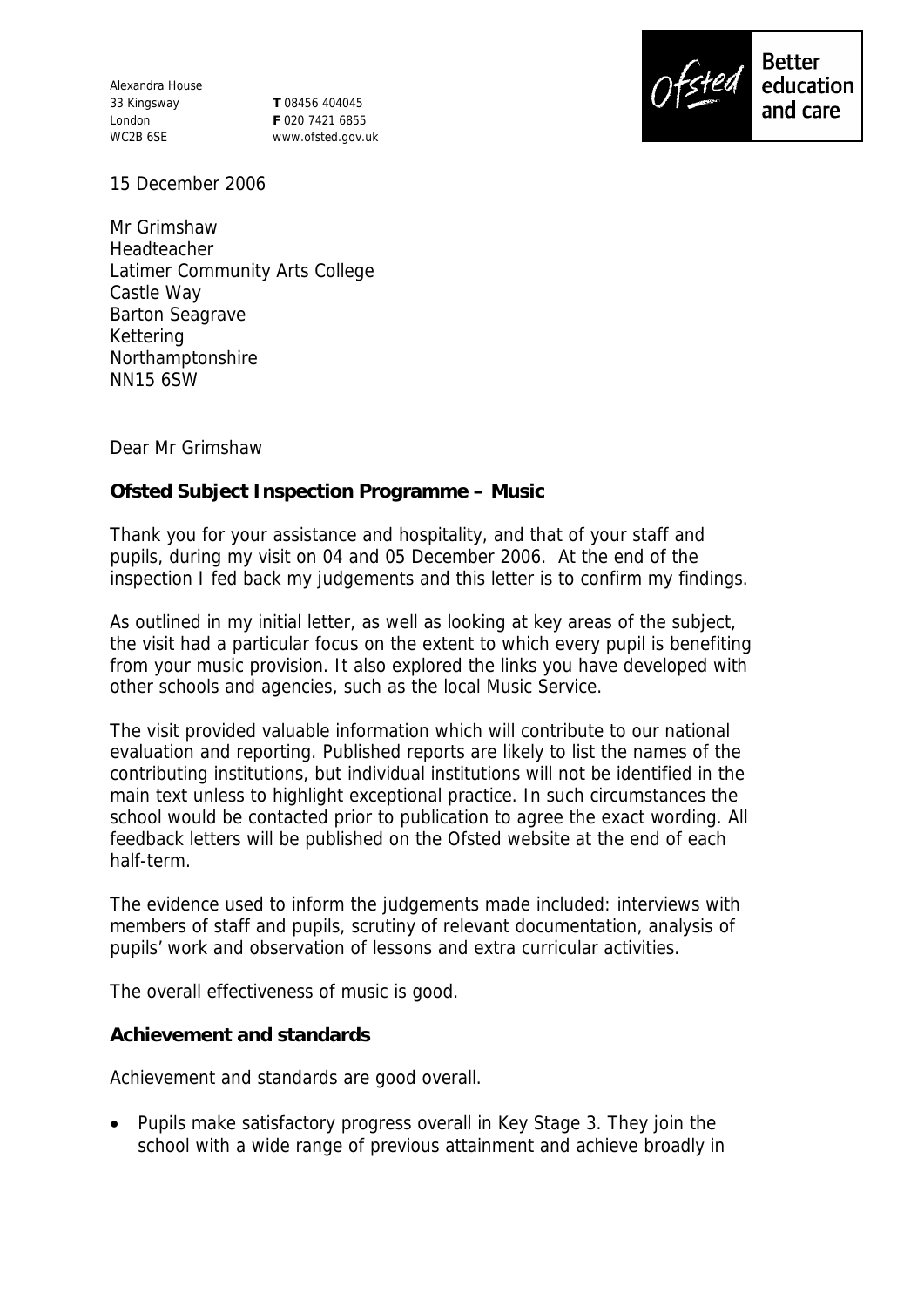Alexandra House 33 Kingsway London WC2B 6SE

**T** 08456 404045 **F** 020 7421 6855 www.ofsted.gov.uk



15 December 2006

Mr Grimshaw Headteacher Latimer Community Arts College Castle Way Barton Seagrave Kettering Northamptonshire NN15 6SW

Dear Mr Grimshaw

**Ofsted Subject Inspection Programme – Music** 

Thank you for your assistance and hospitality, and that of your staff and pupils, during my visit on 04 and 05 December 2006. At the end of the inspection I fed back my judgements and this letter is to confirm my findings.

As outlined in my initial letter, as well as looking at key areas of the subject, the visit had a particular focus on the extent to which every pupil is benefiting from your music provision. It also explored the links you have developed with other schools and agencies, such as the local Music Service.

The visit provided valuable information which will contribute to our national evaluation and reporting. Published reports are likely to list the names of the contributing institutions, but individual institutions will not be identified in the main text unless to highlight exceptional practice. In such circumstances the school would be contacted prior to publication to agree the exact wording. All feedback letters will be published on the Ofsted website at the end of each half-term.

The evidence used to inform the judgements made included: interviews with members of staff and pupils, scrutiny of relevant documentation, analysis of pupils' work and observation of lessons and extra curricular activities.

The overall effectiveness of music is good.

**Achievement and standards** 

Achievement and standards are good overall.

• Pupils make satisfactory progress overall in Key Stage 3. They join the school with a wide range of previous attainment and achieve broadly in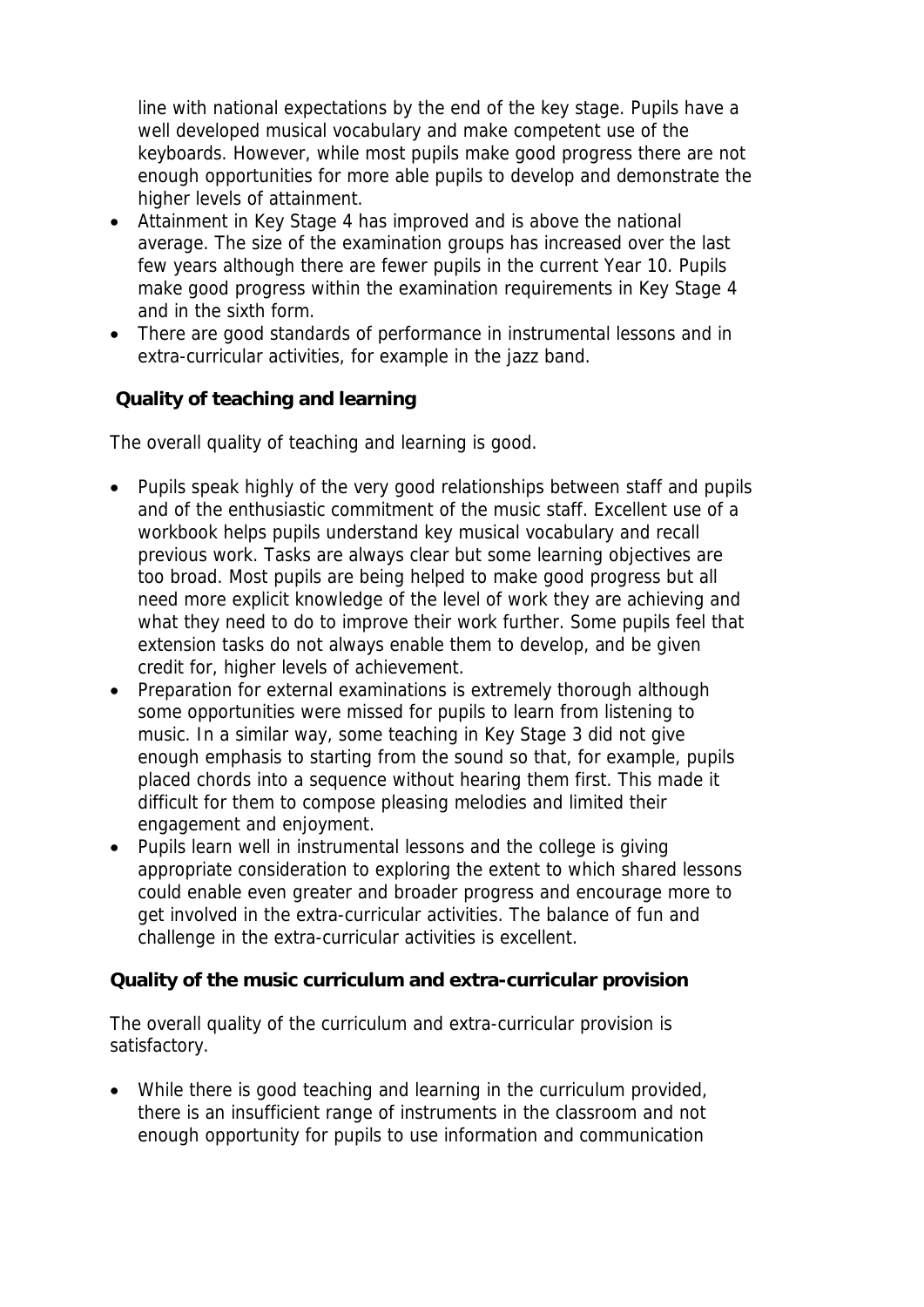line with national expectations by the end of the key stage. Pupils have a well developed musical vocabulary and make competent use of the keyboards. However, while most pupils make good progress there are not enough opportunities for more able pupils to develop and demonstrate the higher levels of attainment.

- Attainment in Key Stage 4 has improved and is above the national average. The size of the examination groups has increased over the last few years although there are fewer pupils in the current Year 10. Pupils make good progress within the examination requirements in Key Stage 4 and in the sixth form.
- There are good standards of performance in instrumental lessons and in extra-curricular activities, for example in the jazz band.

 **Quality of teaching and learning**

The overall quality of teaching and learning is good.

- Pupils speak highly of the very good relationships between staff and pupils and of the enthusiastic commitment of the music staff. Excellent use of a workbook helps pupils understand key musical vocabulary and recall previous work. Tasks are always clear but some learning objectives are too broad. Most pupils are being helped to make good progress but all need more explicit knowledge of the level of work they are achieving and what they need to do to improve their work further. Some pupils feel that extension tasks do not always enable them to develop, and be given credit for, higher levels of achievement.
- Preparation for external examinations is extremely thorough although some opportunities were missed for pupils to learn from listening to music. In a similar way, some teaching in Key Stage 3 did not give enough emphasis to starting from the sound so that, for example, pupils placed chords into a sequence without hearing them first. This made it difficult for them to compose pleasing melodies and limited their engagement and enjoyment.
- Pupils learn well in instrumental lessons and the college is giving appropriate consideration to exploring the extent to which shared lessons could enable even greater and broader progress and encourage more to get involved in the extra-curricular activities. The balance of fun and challenge in the extra-curricular activities is excellent.

**Quality of the music curriculum and extra-curricular provision**

The overall quality of the curriculum and extra-curricular provision is satisfactory.

 While there is good teaching and learning in the curriculum provided, there is an insufficient range of instruments in the classroom and not enough opportunity for pupils to use information and communication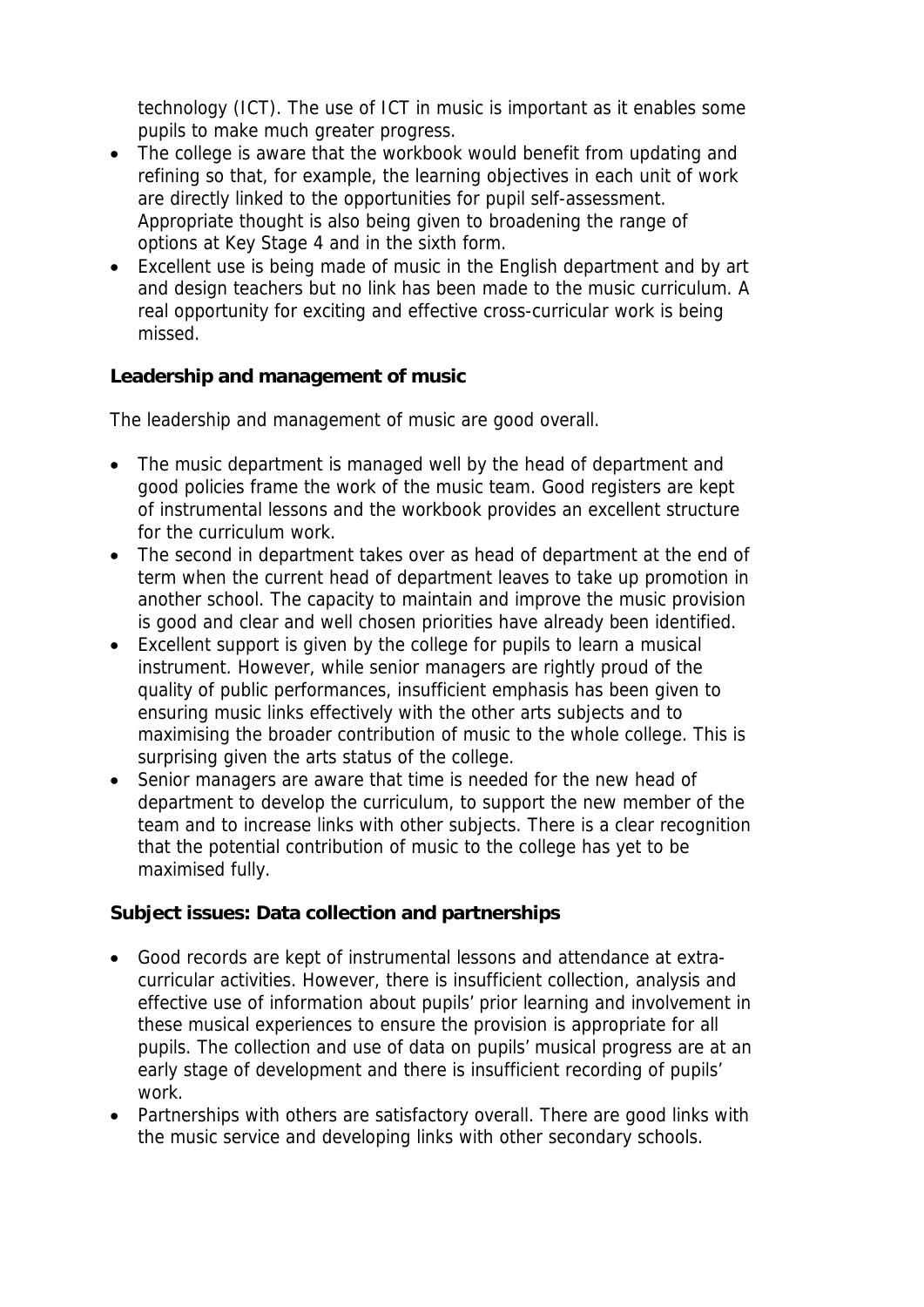technology (ICT). The use of ICT in music is important as it enables some pupils to make much greater progress.

- The college is aware that the workbook would benefit from updating and refining so that, for example, the learning objectives in each unit of work are directly linked to the opportunities for pupil self-assessment. Appropriate thought is also being given to broadening the range of options at Key Stage 4 and in the sixth form.
- Excellent use is being made of music in the English department and by art and design teachers but no link has been made to the music curriculum. A real opportunity for exciting and effective cross-curricular work is being missed.

**Leadership and management of music**

The leadership and management of music are good overall.

- The music department is managed well by the head of department and good policies frame the work of the music team. Good registers are kept of instrumental lessons and the workbook provides an excellent structure for the curriculum work.
- The second in department takes over as head of department at the end of term when the current head of department leaves to take up promotion in another school. The capacity to maintain and improve the music provision is good and clear and well chosen priorities have already been identified.
- Excellent support is given by the college for pupils to learn a musical instrument. However, while senior managers are rightly proud of the quality of public performances, insufficient emphasis has been given to ensuring music links effectively with the other arts subjects and to maximising the broader contribution of music to the whole college. This is surprising given the arts status of the college.
- Senior managers are aware that time is needed for the new head of department to develop the curriculum, to support the new member of the team and to increase links with other subjects. There is a clear recognition that the potential contribution of music to the college has yet to be maximised fully.

**Subject issues: Data collection and partnerships**

- Good records are kept of instrumental lessons and attendance at extracurricular activities. However, there is insufficient collection, analysis and effective use of information about pupils' prior learning and involvement in these musical experiences to ensure the provision is appropriate for all pupils. The collection and use of data on pupils' musical progress are at an early stage of development and there is insufficient recording of pupils' work.
- Partnerships with others are satisfactory overall. There are good links with the music service and developing links with other secondary schools.